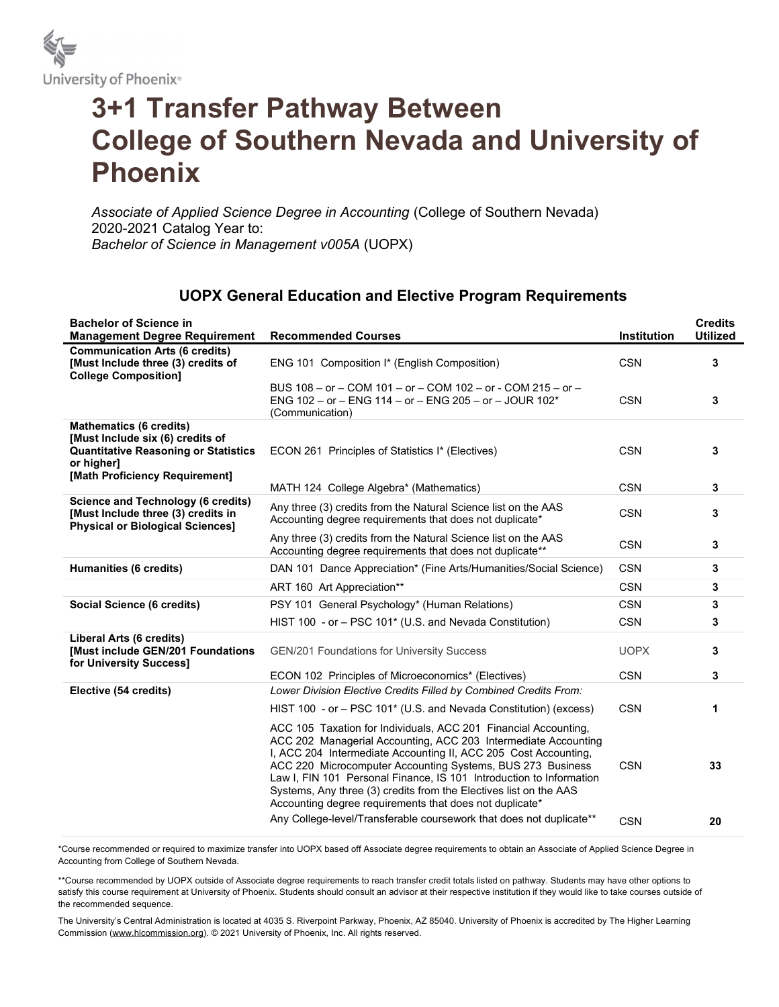

## 3+1 Transfer Pathway Between College of Southern Nevada and University of Phoenix

Associate of Applied Science Degree in Accounting (College of Southern Nevada) 2020-2021 Catalog Year to: Bachelor of Science in Management v005A (UOPX)

## UOPX General Education and Elective Program Requirements

| <b>Bachelor of Science in</b><br><b>Management Degree Requirement</b>                                                                                             | <b>Recommended Courses</b>                                                                                                                                                                                                                                                                                                                                                                                                                                                | <b>Institution</b> | <b>Credits</b><br><b>Utilized</b> |
|-------------------------------------------------------------------------------------------------------------------------------------------------------------------|---------------------------------------------------------------------------------------------------------------------------------------------------------------------------------------------------------------------------------------------------------------------------------------------------------------------------------------------------------------------------------------------------------------------------------------------------------------------------|--------------------|-----------------------------------|
| <b>Communication Arts (6 credits)</b><br>[Must Include three (3) credits of<br><b>College Composition]</b>                                                        | ENG 101 Composition I* (English Composition)                                                                                                                                                                                                                                                                                                                                                                                                                              | <b>CSN</b>         | 3                                 |
|                                                                                                                                                                   | BUS 108 - or - COM 101 - or - COM 102 - or - COM 215 - or -<br>ENG 102 - or - ENG 114 - or - ENG 205 - or - JOUR 102*<br>(Communication)                                                                                                                                                                                                                                                                                                                                  | <b>CSN</b>         | 3                                 |
| <b>Mathematics (6 credits)</b><br>[Must Include six (6) credits of<br><b>Quantitative Reasoning or Statistics</b><br>or higher]<br>[Math Proficiency Requirement] | ECON 261 Principles of Statistics I* (Electives)                                                                                                                                                                                                                                                                                                                                                                                                                          | <b>CSN</b>         | 3                                 |
|                                                                                                                                                                   | MATH 124 College Algebra* (Mathematics)                                                                                                                                                                                                                                                                                                                                                                                                                                   | <b>CSN</b>         | $\mathbf{3}$                      |
| <b>Science and Technology (6 credits)</b><br>[Must Include three (3) credits in<br><b>Physical or Biological Sciences]</b>                                        | Any three (3) credits from the Natural Science list on the AAS<br>Accounting degree requirements that does not duplicate*                                                                                                                                                                                                                                                                                                                                                 | <b>CSN</b>         | 3                                 |
|                                                                                                                                                                   | Any three (3) credits from the Natural Science list on the AAS<br>Accounting degree requirements that does not duplicate**                                                                                                                                                                                                                                                                                                                                                | <b>CSN</b>         | 3                                 |
| Humanities (6 credits)                                                                                                                                            | DAN 101 Dance Appreciation* (Fine Arts/Humanities/Social Science)                                                                                                                                                                                                                                                                                                                                                                                                         | <b>CSN</b>         | 3                                 |
|                                                                                                                                                                   | ART 160 Art Appreciation**                                                                                                                                                                                                                                                                                                                                                                                                                                                | <b>CSN</b>         | 3                                 |
| Social Science (6 credits)                                                                                                                                        | PSY 101 General Psychology* (Human Relations)                                                                                                                                                                                                                                                                                                                                                                                                                             | <b>CSN</b>         | 3                                 |
|                                                                                                                                                                   | HIST 100 - or - PSC 101* (U.S. and Nevada Constitution)                                                                                                                                                                                                                                                                                                                                                                                                                   | <b>CSN</b>         | 3                                 |
| Liberal Arts (6 credits)<br><b>[Must include GEN/201 Foundations</b><br>for University Success]                                                                   | <b>GEN/201 Foundations for University Success</b>                                                                                                                                                                                                                                                                                                                                                                                                                         | <b>UOPX</b>        | 3                                 |
|                                                                                                                                                                   | ECON 102 Principles of Microeconomics* (Electives)                                                                                                                                                                                                                                                                                                                                                                                                                        | <b>CSN</b>         | 3                                 |
| Elective (54 credits)                                                                                                                                             | Lower Division Elective Credits Filled by Combined Credits From:                                                                                                                                                                                                                                                                                                                                                                                                          |                    |                                   |
|                                                                                                                                                                   | HIST 100 - or - PSC 101* (U.S. and Nevada Constitution) (excess)                                                                                                                                                                                                                                                                                                                                                                                                          | <b>CSN</b>         | 1                                 |
|                                                                                                                                                                   | ACC 105 Taxation for Individuals, ACC 201 Financial Accounting,<br>ACC 202 Managerial Accounting, ACC 203 Intermediate Accounting<br>I, ACC 204 Intermediate Accounting II, ACC 205 Cost Accounting,<br>ACC 220 Microcomputer Accounting Systems, BUS 273 Business<br>Law I, FIN 101 Personal Finance, IS 101 Introduction to Information<br>Systems, Any three (3) credits from the Electives list on the AAS<br>Accounting degree requirements that does not duplicate* | <b>CSN</b>         | 33                                |
|                                                                                                                                                                   | Any College-level/Transferable coursework that does not duplicate**                                                                                                                                                                                                                                                                                                                                                                                                       | <b>CSN</b>         | 20                                |

\*Course recommended or required to maximize transfer into UOPX based off Associate degree requirements to obtain an Associate of Applied Science Degree in Accounting from College of Southern Nevada.

\*\*Course recommended by UOPX outside of Associate degree requirements to reach transfer credit totals listed on pathway. Students may have other options to satisfy this course requirement at University of Phoenix. Students should consult an advisor at their respective institution if they would like to take courses outside of the recommended sequence.

The University's Central Administration is located at 4035 S. Riverpoint Parkway, Phoenix, AZ 85040. University of Phoenix is accredited by The Higher Learning Commission (www.hlcommission.org). © 2021 University of Phoenix, Inc. All rights reserved.